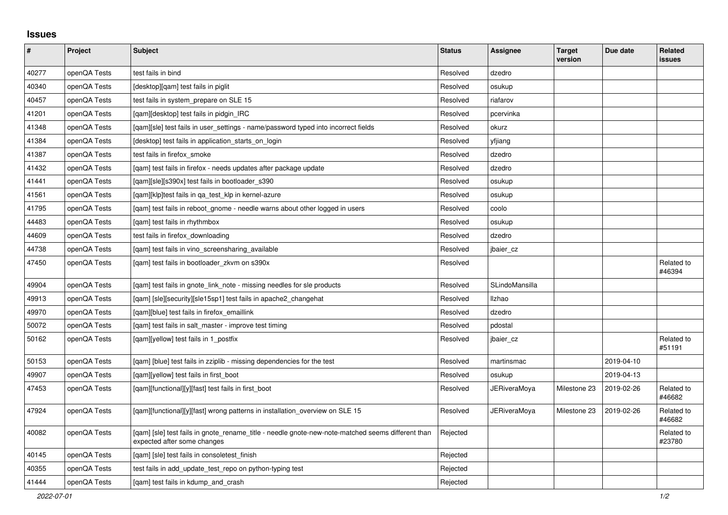## **Issues**

| #     | Project      | <b>Subject</b>                                                                                                                   | <b>Status</b> | Assignee            | <b>Target</b><br>version | Due date   | Related<br><b>issues</b> |
|-------|--------------|----------------------------------------------------------------------------------------------------------------------------------|---------------|---------------------|--------------------------|------------|--------------------------|
| 40277 | openQA Tests | test fails in bind                                                                                                               | Resolved      | dzedro              |                          |            |                          |
| 40340 | openQA Tests | [desktop][qam] test fails in piglit                                                                                              | Resolved      | osukup              |                          |            |                          |
| 40457 | openQA Tests | test fails in system prepare on SLE 15                                                                                           | Resolved      | riafarov            |                          |            |                          |
| 41201 | openQA Tests | [gam][desktop] test fails in pidgin IRC                                                                                          | Resolved      | pcervinka           |                          |            |                          |
| 41348 | openQA Tests | [qam][sle] test fails in user_settings - name/password typed into incorrect fields                                               | Resolved      | okurz               |                          |            |                          |
| 41384 | openQA Tests | [desktop] test fails in application_starts_on_login                                                                              | Resolved      | yfjiang             |                          |            |                          |
| 41387 | openQA Tests | test fails in firefox_smoke                                                                                                      | Resolved      | dzedro              |                          |            |                          |
| 41432 | openQA Tests | [gam] test fails in firefox - needs updates after package update                                                                 | Resolved      | dzedro              |                          |            |                          |
| 41441 | openQA Tests | [gam][sle][s390x] test fails in bootloader s390                                                                                  | Resolved      | osukup              |                          |            |                          |
| 41561 | openQA Tests | [gam][klp]test fails in ga test klp in kernel-azure                                                                              | Resolved      | osukup              |                          |            |                          |
| 41795 | openQA Tests | [qam] test fails in reboot_gnome - needle warns about other logged in users                                                      | Resolved      | coolo               |                          |            |                          |
| 44483 | openQA Tests | [gam] test fails in rhythmbox                                                                                                    | Resolved      | osukup              |                          |            |                          |
| 44609 | openQA Tests | test fails in firefox downloading                                                                                                | Resolved      | dzedro              |                          |            |                          |
| 44738 | openQA Tests | [gam] test fails in vino screensharing available                                                                                 | Resolved      | jbaier_cz           |                          |            |                          |
| 47450 | openQA Tests | [gam] test fails in bootloader zkvm on s390x                                                                                     | Resolved      |                     |                          |            | Related to<br>#46394     |
| 49904 | openQA Tests | [qam] test fails in gnote_link_note - missing needles for sle products                                                           | Resolved      | SLindoMansilla      |                          |            |                          |
| 49913 | openQA Tests | [qam] [sle][security][sle15sp1] test fails in apache2_changehat                                                                  | Resolved      | Ilzhao              |                          |            |                          |
| 49970 | openQA Tests | [gam][blue] test fails in firefox emaillink                                                                                      | Resolved      | dzedro              |                          |            |                          |
| 50072 | openQA Tests | [gam] test fails in salt master - improve test timing                                                                            | Resolved      | pdostal             |                          |            |                          |
| 50162 | openQA Tests | [gam][yellow] test fails in 1 postfix                                                                                            | Resolved      | jbaier cz           |                          |            | Related to<br>#51191     |
| 50153 | openQA Tests | [qam] [blue] test fails in zziplib - missing dependencies for the test                                                           | Resolved      | martinsmac          |                          | 2019-04-10 |                          |
| 49907 | openQA Tests | [qam][yellow] test fails in first_boot                                                                                           | Resolved      | osukup              |                          | 2019-04-13 |                          |
| 47453 | openQA Tests | [qam][functional][y][fast] test fails in first_boot                                                                              | Resolved      | <b>JERiveraMoya</b> | Milestone 23             | 2019-02-26 | Related to<br>#46682     |
| 47924 | openQA Tests | [gam][functional][y][fast] wrong patterns in installation overview on SLE 15                                                     | Resolved      | <b>JERiveraMoya</b> | Milestone 23             | 2019-02-26 | Related to<br>#46682     |
| 40082 | openQA Tests | [gam] [sle] test fails in gnote rename title - needle gnote-new-note-matched seems different than<br>expected after some changes | Rejected      |                     |                          |            | Related to<br>#23780     |
| 40145 | openQA Tests | [gam] [sle] test fails in consoletest finish                                                                                     | Rejected      |                     |                          |            |                          |
| 40355 | openQA Tests | test fails in add_update_test_repo on python-typing test                                                                         | Rejected      |                     |                          |            |                          |
| 41444 | openQA Tests | [gam] test fails in kdump and crash                                                                                              | Rejected      |                     |                          |            |                          |